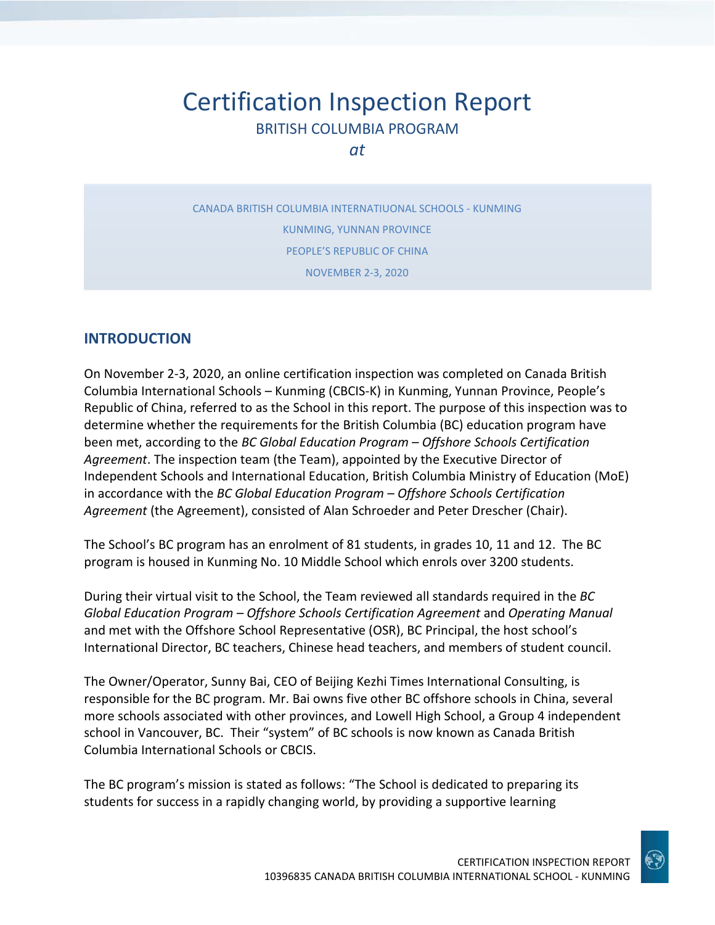# Certification Inspection Report BRITISH COLUMBIA PROGRAM

*at*

CANADA BRITISH COLUMBIA INTERNATIUONAL SCHOOLS - KUNMING KUNMING, YUNNAN PROVINCE PEOPLE'S REPUBLIC OF CHINA NOVEMBER 2-3, 2020

## **INTRODUCTION**

On November 2-3, 2020, an online certification inspection was completed on Canada British Columbia International Schools – Kunming (CBCIS-K) in Kunming, Yunnan Province, People's Republic of China, referred to as the School in this report. The purpose of this inspection was to determine whether the requirements for the British Columbia (BC) education program have been met, according to the *BC Global Education Program – Offshore Schools Certification Agreement*. The inspection team (the Team), appointed by the Executive Director of Independent Schools and International Education, British Columbia Ministry of Education (MoE) in accordance with the *BC Global Education Program – Offshore Schools Certification Agreement* (the Agreement), consisted of Alan Schroeder and Peter Drescher (Chair).

The School's BC program has an enrolment of 81 students, in grades 10, 11 and 12. The BC program is housed in Kunming No. 10 Middle School which enrols over 3200 students.

During their virtual visit to the School, the Team reviewed all standards required in the *BC Global Education Program – Offshore Schools Certification Agreement* and *Operating Manual*  and met with the Offshore School Representative (OSR), BC Principal, the host school's International Director, BC teachers, Chinese head teachers, and members of student council.

The Owner/Operator, Sunny Bai, CEO of Beijing Kezhi Times International Consulting, is responsible for the BC program. Mr. Bai owns five other BC offshore schools in China, several more schools associated with other provinces, and Lowell High School, a Group 4 independent school in Vancouver, BC. Their "system" of BC schools is now known as Canada British Columbia International Schools or CBCIS.

The BC program's mission is stated as follows: "The School is dedicated to preparing its students for success in a rapidly changing world, by providing a supportive learning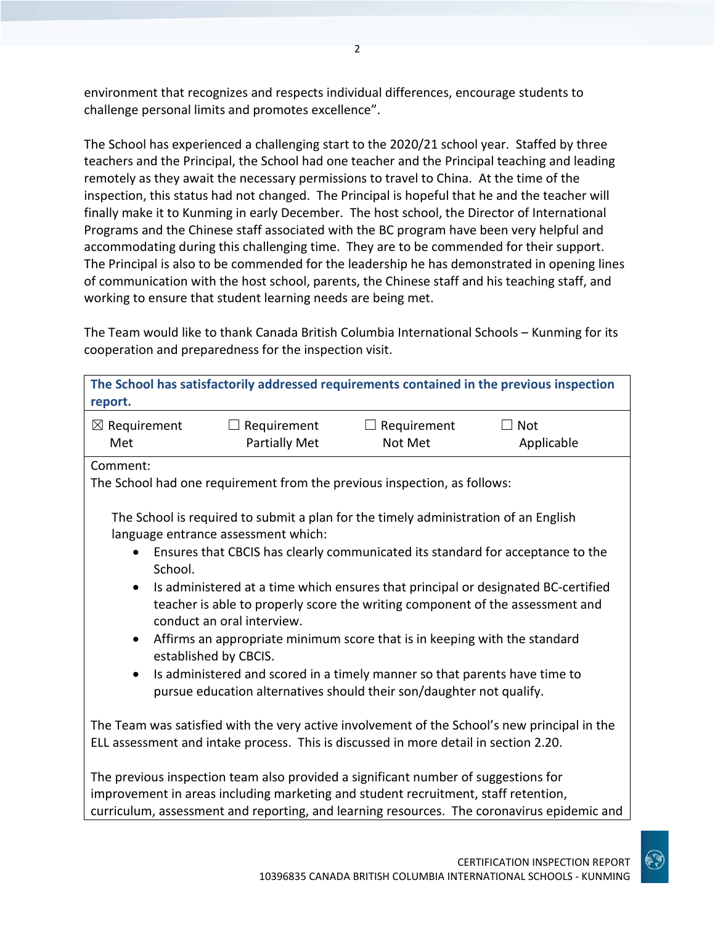environment that recognizes and respects individual differences, encourage students to challenge personal limits and promotes excellence".

The School has experienced a challenging start to the 2020/21 school year. Staffed by three teachers and the Principal, the School had one teacher and the Principal teaching and leading remotely as they await the necessary permissions to travel to China. At the time of the inspection, this status had not changed. The Principal is hopeful that he and the teacher will finally make it to Kunming in early December. The host school, the Director of International Programs and the Chinese staff associated with the BC program have been very helpful and accommodating during this challenging time. They are to be commended for their support. The Principal is also to be commended for the leadership he has demonstrated in opening lines of communication with the host school, parents, the Chinese staff and his teaching staff, and working to ensure that student learning needs are being met.

The Team would like to thank Canada British Columbia International Schools – Kunming for its cooperation and preparedness for the inspection visit.

| report.                                                                                                                                                                                                                                                                            |                                                                                                                                                                                                              |                               | The School has satisfactorily addressed requirements contained in the previous inspection |
|------------------------------------------------------------------------------------------------------------------------------------------------------------------------------------------------------------------------------------------------------------------------------------|--------------------------------------------------------------------------------------------------------------------------------------------------------------------------------------------------------------|-------------------------------|-------------------------------------------------------------------------------------------|
| $\boxtimes$ Requirement<br>Met                                                                                                                                                                                                                                                     | $\Box$ Requirement<br><b>Partially Met</b>                                                                                                                                                                   | $\Box$ Requirement<br>Not Met | Not<br>Applicable                                                                         |
| Comment:                                                                                                                                                                                                                                                                           | The School had one requirement from the previous inspection, as follows:                                                                                                                                     |                               |                                                                                           |
| $\bullet$                                                                                                                                                                                                                                                                          | The School is required to submit a plan for the timely administration of an English<br>language entrance assessment which:<br>Ensures that CBCIS has clearly communicated its standard for acceptance to the |                               |                                                                                           |
| School.<br>Is administered at a time which ensures that principal or designated BC-certified<br>$\bullet$<br>teacher is able to properly score the writing component of the assessment and<br>conduct an oral interview.                                                           |                                                                                                                                                                                                              |                               |                                                                                           |
| Affirms an appropriate minimum score that is in keeping with the standard<br>$\bullet$<br>established by CBCIS.<br>Is administered and scored in a timely manner so that parents have time to<br>$\bullet$<br>pursue education alternatives should their son/daughter not qualify. |                                                                                                                                                                                                              |                               |                                                                                           |
| The Team was satisfied with the very active involvement of the School's new principal in the<br>ELL assessment and intake process. This is discussed in more detail in section 2.20.                                                                                               |                                                                                                                                                                                                              |                               |                                                                                           |
| curriculum, assessment and reporting, and learning resources. The coronavirus epidemic and                                                                                                                                                                                         | The previous inspection team also provided a significant number of suggestions for<br>improvement in areas including marketing and student recruitment, staff retention,                                     |                               |                                                                                           |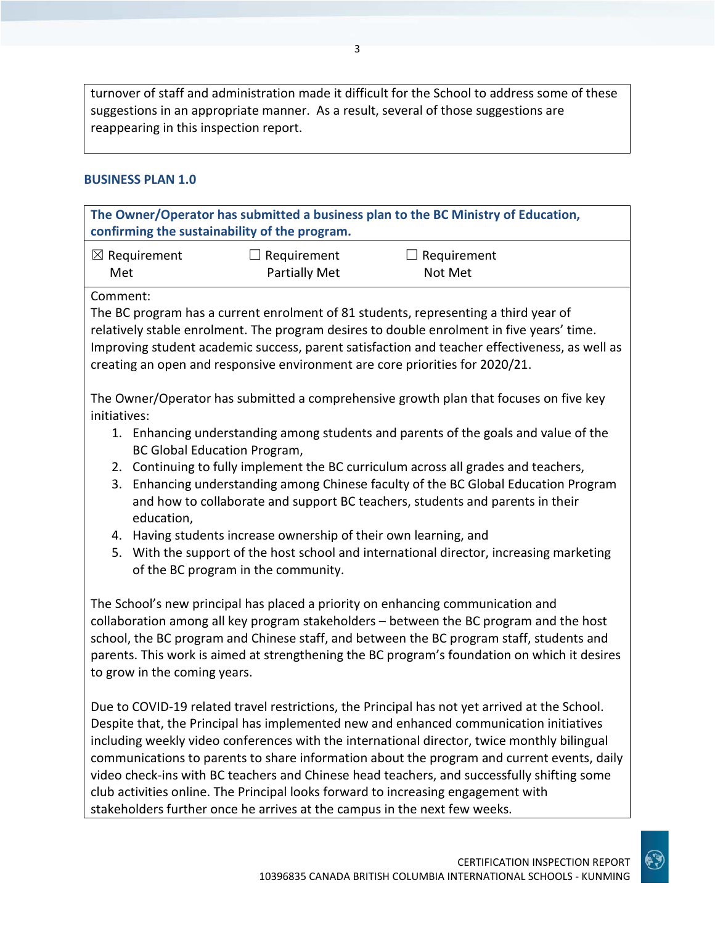turnover of staff and administration made it difficult for the School to address some of these suggestions in an appropriate manner. As a result, several of those suggestions are reappearing in this inspection report.

### **BUSINESS PLAN 1.0**

**The Owner/Operator has submitted a business plan to the BC Ministry of Education, confirming the sustainability of the program.** ☒ Requirement Met  $\Box$  Requirement Partially Met  $\Box$  Requirement Not Met Comment: The BC program has a current enrolment of 81 students, representing a third year of relatively stable enrolment. The program desires to double enrolment in five years' time. Improving student academic success, parent satisfaction and teacher effectiveness, as well as creating an open and responsive environment are core priorities for 2020/21. The Owner/Operator has submitted a comprehensive growth plan that focuses on five key initiatives: 1. Enhancing understanding among students and parents of the goals and value of the BC Global Education Program, 2. Continuing to fully implement the BC curriculum across all grades and teachers, 3. Enhancing understanding among Chinese faculty of the BC Global Education Program and how to collaborate and support BC teachers, students and parents in their education, 4. Having students increase ownership of their own learning, and 5. With the support of the host school and international director, increasing marketing of the BC program in the community. The School's new principal has placed a priority on enhancing communication and collaboration among all key program stakeholders – between the BC program and the host school, the BC program and Chinese staff, and between the BC program staff, students and parents. This work is aimed at strengthening the BC program's foundation on which it desires to grow in the coming years. Due to COVID-19 related travel restrictions, the Principal has not yet arrived at the School. Despite that, the Principal has implemented new and enhanced communication initiatives including weekly video conferences with the international director, twice monthly bilingual communications to parents to share information about the program and current events, daily video check-ins with BC teachers and Chinese head teachers, and successfully shifting some club activities online. The Principal looks forward to increasing engagement with

stakeholders further once he arrives at the campus in the next few weeks.

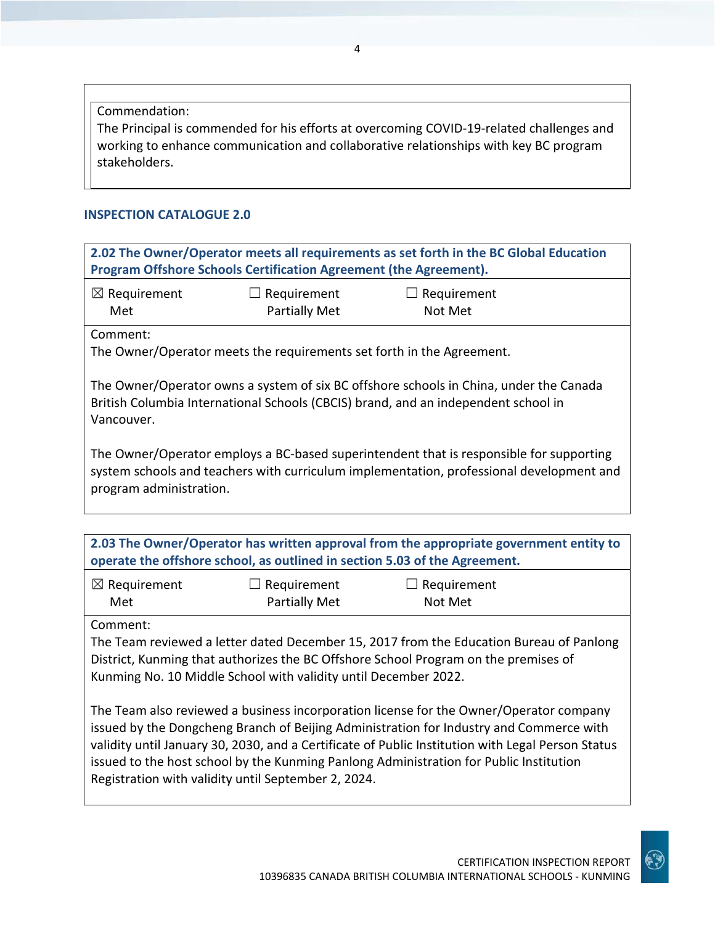Commendation:

The Principal is commended for his efforts at overcoming COVID-19-related challenges and working to enhance communication and collaborative relationships with key BC program stakeholders.

## **INSPECTION CATALOGUE 2.0**

| 2.02 The Owner/Operator meets all requirements as set forth in the BC Global Education<br>Program Offshore Schools Certification Agreement (the Agreement).                                                                                                                                                                                                                                                                             |                                                                                                                                                                                                                |                                                                                                                                                                              |  |  |
|-----------------------------------------------------------------------------------------------------------------------------------------------------------------------------------------------------------------------------------------------------------------------------------------------------------------------------------------------------------------------------------------------------------------------------------------|----------------------------------------------------------------------------------------------------------------------------------------------------------------------------------------------------------------|------------------------------------------------------------------------------------------------------------------------------------------------------------------------------|--|--|
| $\boxtimes$ Requirement<br>Met                                                                                                                                                                                                                                                                                                                                                                                                          | Requirement<br><b>Partially Met</b>                                                                                                                                                                            | $\Box$ Requirement<br>Not Met                                                                                                                                                |  |  |
| Comment:                                                                                                                                                                                                                                                                                                                                                                                                                                | The Owner/Operator meets the requirements set forth in the Agreement.                                                                                                                                          |                                                                                                                                                                              |  |  |
| Vancouver.                                                                                                                                                                                                                                                                                                                                                                                                                              |                                                                                                                                                                                                                | The Owner/Operator owns a system of six BC offshore schools in China, under the Canada<br>British Columbia International Schools (CBCIS) brand, and an independent school in |  |  |
|                                                                                                                                                                                                                                                                                                                                                                                                                                         | The Owner/Operator employs a BC-based superintendent that is responsible for supporting<br>system schools and teachers with curriculum implementation, professional development and<br>program administration. |                                                                                                                                                                              |  |  |
|                                                                                                                                                                                                                                                                                                                                                                                                                                         | operate the offshore school, as outlined in section 5.03 of the Agreement.                                                                                                                                     | 2.03 The Owner/Operator has written approval from the appropriate government entity to                                                                                       |  |  |
| $\boxtimes$ Requirement<br>Met                                                                                                                                                                                                                                                                                                                                                                                                          | Requirement<br><b>Partially Met</b>                                                                                                                                                                            | $\Box$ Requirement<br>Not Met                                                                                                                                                |  |  |
| Comment:<br>The Team reviewed a letter dated December 15, 2017 from the Education Bureau of Panlong<br>District, Kunming that authorizes the BC Offshore School Program on the premises of<br>Kunming No. 10 Middle School with validity until December 2022.                                                                                                                                                                           |                                                                                                                                                                                                                |                                                                                                                                                                              |  |  |
| The Team also reviewed a business incorporation license for the Owner/Operator company<br>issued by the Dongcheng Branch of Beijing Administration for Industry and Commerce with<br>validity until January 30, 2030, and a Certificate of Public Institution with Legal Person Status<br>issued to the host school by the Kunming Panlong Administration for Public Institution<br>Registration with validity until September 2, 2024. |                                                                                                                                                                                                                |                                                                                                                                                                              |  |  |

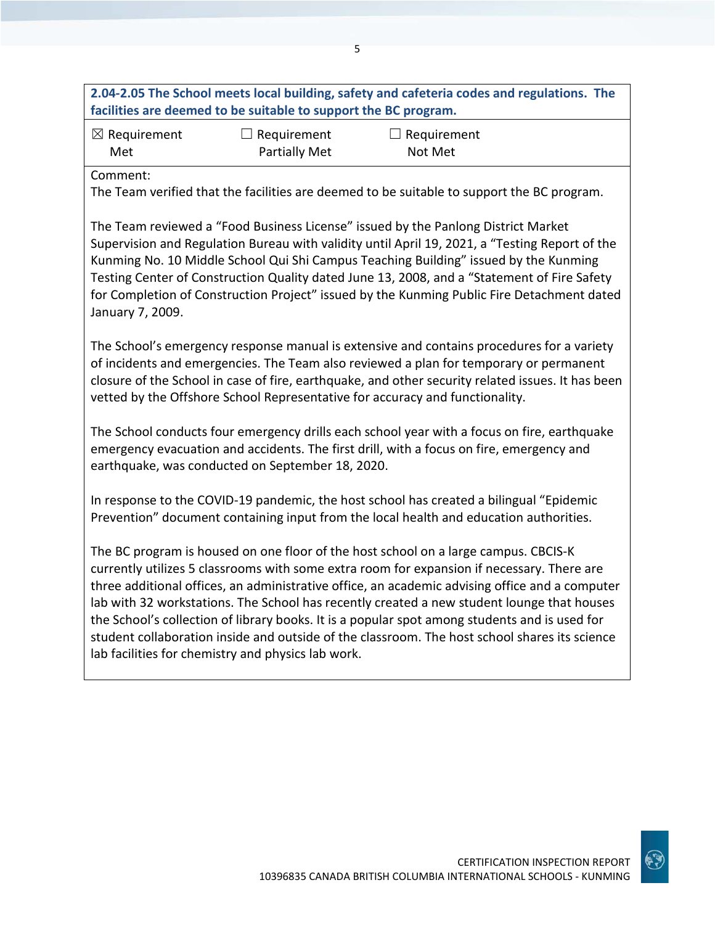| 2.04-2.05 The School meets local building, safety and cafeteria codes and regulations. The<br>facilities are deemed to be suitable to support the BC program. |  |  |  |
|---------------------------------------------------------------------------------------------------------------------------------------------------------------|--|--|--|
| $\boxtimes$ Requirement<br>$\Box$ Requirement<br>$\Box$ Requirement<br><b>Partially Met</b><br>Met<br>Not Met                                                 |  |  |  |
| Comment:<br>The Team verified that the facilities are deemed to be suitable to support the BC program.                                                        |  |  |  |
| The Team reviewed a "Food Business License" issued by the Panlong District Market                                                                             |  |  |  |

Supervision and Regulation Bureau with validity until April 19, 2021, a "Testing Report of the Kunming No. 10 Middle School Qui Shi Campus Teaching Building" issued by the Kunming Testing Center of Construction Quality dated June 13, 2008, and a "Statement of Fire Safety for Completion of Construction Project" issued by the Kunming Public Fire Detachment dated January 7, 2009.

The School's emergency response manual is extensive and contains procedures for a variety of incidents and emergencies. The Team also reviewed a plan for temporary or permanent closure of the School in case of fire, earthquake, and other security related issues. It has been vetted by the Offshore School Representative for accuracy and functionality.

The School conducts four emergency drills each school year with a focus on fire, earthquake emergency evacuation and accidents. The first drill, with a focus on fire, emergency and earthquake, was conducted on September 18, 2020.

In response to the COVID-19 pandemic, the host school has created a bilingual "Epidemic Prevention" document containing input from the local health and education authorities.

The BC program is housed on one floor of the host school on a large campus. CBCIS-K currently utilizes 5 classrooms with some extra room for expansion if necessary. There are three additional offices, an administrative office, an academic advising office and a computer lab with 32 workstations. The School has recently created a new student lounge that houses the School's collection of library books. It is a popular spot among students and is used for student collaboration inside and outside of the classroom. The host school shares its science lab facilities for chemistry and physics lab work.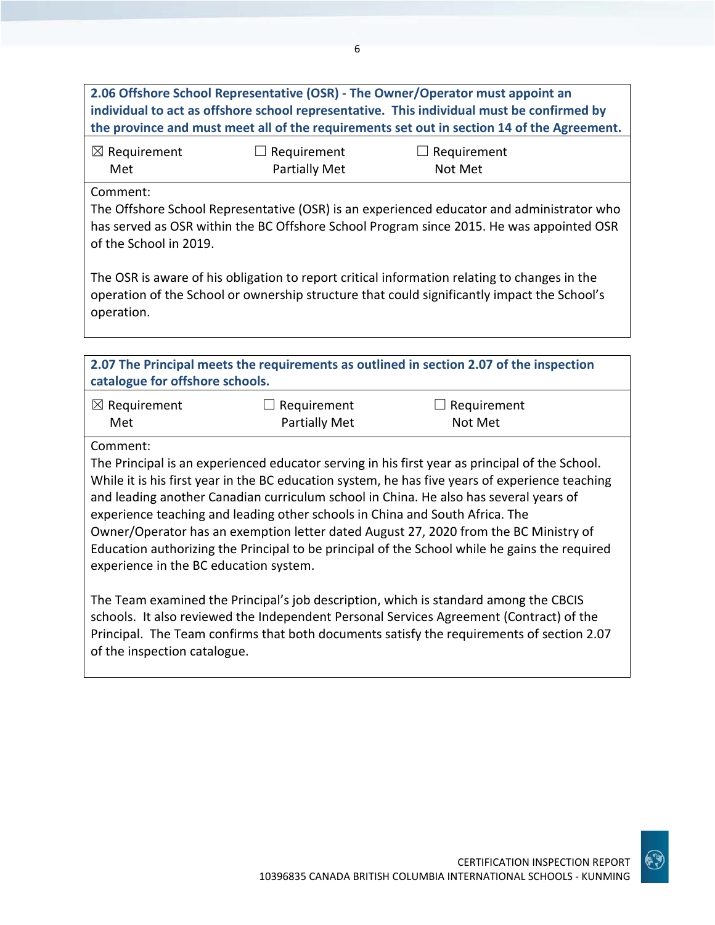**2.06 Offshore School Representative (OSR) - The Owner/Operator must appoint an individual to act as offshore school representative. This individual must be confirmed by the province and must meet all of the requirements set out in section 14 of the Agreement.** ☒ Requirement Met ☐ Requirement Partially Met  $\Box$  Requirement Not Met Comment: The Offshore School Representative (OSR) is an experienced educator and administrator who has served as OSR within the BC Offshore School Program since 2015. He was appointed OSR of the School in 2019. The OSR is aware of his obligation to report critical information relating to changes in the operation of the School or ownership structure that could significantly impact the School's operation. **2.07 The Principal meets the requirements as outlined in section 2.07 of the inspection catalogue for offshore schools.** ☒ Requirement Met ☐ Requirement Partially Met ☐ Requirement Not Met Comment: The Principal is an experienced educator serving in his first year as principal of the School. While it is his first year in the BC education system, he has five years of experience teaching and leading another Canadian curriculum school in China. He also has several years of experience teaching and leading other schools in China and South Africa. The Owner/Operator has an exemption letter dated August 27, 2020 from the BC Ministry of Education authorizing the Principal to be principal of the School while he gains the required experience in the BC education system.

The Team examined the Principal's job description, which is standard among the CBCIS schools. It also reviewed the Independent Personal Services Agreement (Contract) of the Principal. The Team confirms that both documents satisfy the requirements of section 2.07 of the inspection catalogue.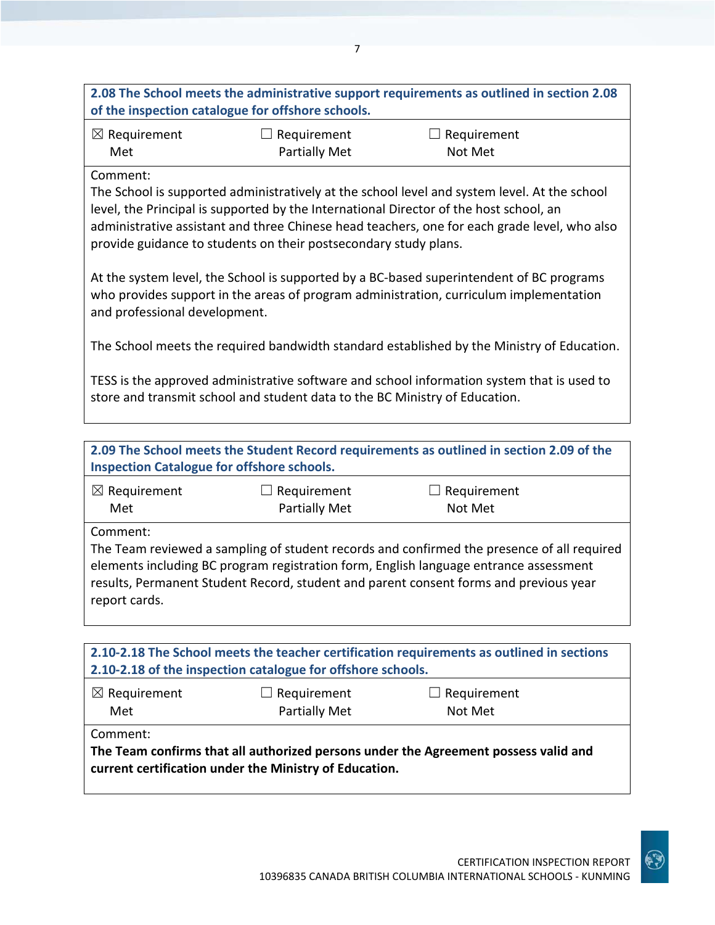| $\boxtimes$ Requirement | $\Box$ Requirement   | $\Box$ Requirement |
|-------------------------|----------------------|--------------------|
| Met                     | <b>Partially Met</b> | Not Met            |

### Comment:

The School is supported administratively at the school level and system level. At the school level, the Principal is supported by the International Director of the host school, an administrative assistant and three Chinese head teachers, one for each grade level, who also provide guidance to students on their postsecondary study plans.

At the system level, the School is supported by a BC-based superintendent of BC programs who provides support in the areas of program administration, curriculum implementation and professional development.

The School meets the required bandwidth standard established by the Ministry of Education.

TESS is the approved administrative software and school information system that is used to store and transmit school and student data to the BC Ministry of Education.

**2.09 The School meets the Student Record requirements as outlined in section 2.09 of the Inspection Catalogue for offshore schools.**

| $\boxtimes$ Requirement | $\Box$ Requirement | $\Box$ Requirement |
|-------------------------|--------------------|--------------------|
| Met                     | Partially Met      | Not Met            |

Comment:

The Team reviewed a sampling of student records and confirmed the presence of all required elements including BC program registration form, English language entrance assessment results, Permanent Student Record, student and parent consent forms and previous year report cards.

| 2.10-2.18 The School meets the teacher certification requirements as outlined in sections<br>2.10-2.18 of the inspection catalogue for offshore schools.  |  |  |  |
|-----------------------------------------------------------------------------------------------------------------------------------------------------------|--|--|--|
| $\boxtimes$ Requirement<br>$\Box$ Requirement<br>$\Box$ Requirement<br>Partially Met<br>Met<br>Not Met                                                    |  |  |  |
| Comment:<br>The Team confirms that all authorized persons under the Agreement possess valid and<br>current certification under the Ministry of Education. |  |  |  |

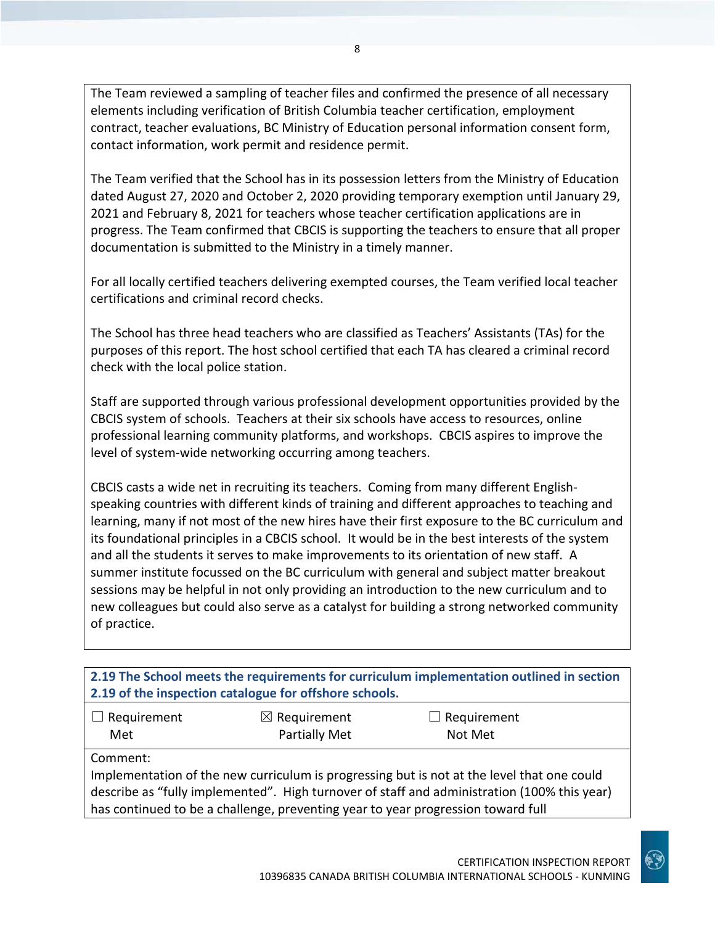The Team reviewed a sampling of teacher files and confirmed the presence of all necessary elements including verification of British Columbia teacher certification, employment contract, teacher evaluations, BC Ministry of Education personal information consent form, contact information, work permit and residence permit.

The Team verified that the School has in its possession letters from the Ministry of Education dated August 27, 2020 and October 2, 2020 providing temporary exemption until January 29, 2021 and February 8, 2021 for teachers whose teacher certification applications are in progress. The Team confirmed that CBCIS is supporting the teachers to ensure that all proper documentation is submitted to the Ministry in a timely manner.

For all locally certified teachers delivering exempted courses, the Team verified local teacher certifications and criminal record checks.

The School has three head teachers who are classified as Teachers' Assistants (TAs) for the purposes of this report. The host school certified that each TA has cleared a criminal record check with the local police station.

Staff are supported through various professional development opportunities provided by the CBCIS system of schools. Teachers at their six schools have access to resources, online professional learning community platforms, and workshops. CBCIS aspires to improve the level of system-wide networking occurring among teachers.

CBCIS casts a wide net in recruiting its teachers. Coming from many different Englishspeaking countries with different kinds of training and different approaches to teaching and learning, many if not most of the new hires have their first exposure to the BC curriculum and its foundational principles in a CBCIS school. It would be in the best interests of the system and all the students it serves to make improvements to its orientation of new staff. A summer institute focussed on the BC curriculum with general and subject matter breakout sessions may be helpful in not only providing an introduction to the new curriculum and to new colleagues but could also serve as a catalyst for building a strong networked community of practice.

**2.19 The School meets the requirements for curriculum implementation outlined in section 2.19 of the inspection catalogue for offshore schools.**

| $\Box$ Requirement | $\boxtimes$ Requirement | $\Box$ Requirement |
|--------------------|-------------------------|--------------------|
| Met                | <b>Partially Met</b>    | Not Met            |

Comment:

Implementation of the new curriculum is progressing but is not at the level that one could describe as "fully implemented". High turnover of staff and administration (100% this year) has continued to be a challenge, preventing year to year progression toward full

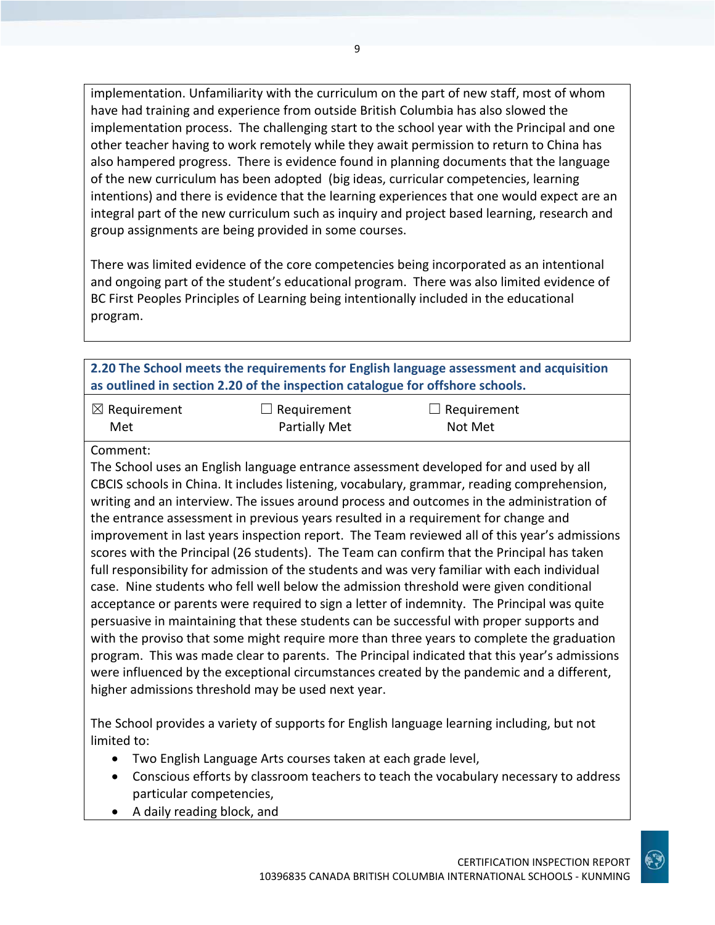implementation. Unfamiliarity with the curriculum on the part of new staff, most of whom have had training and experience from outside British Columbia has also slowed the implementation process. The challenging start to the school year with the Principal and one other teacher having to work remotely while they await permission to return to China has also hampered progress. There is evidence found in planning documents that the language of the new curriculum has been adopted (big ideas, curricular competencies, learning intentions) and there is evidence that the learning experiences that one would expect are an integral part of the new curriculum such as inquiry and project based learning, research and group assignments are being provided in some courses.

There was limited evidence of the core competencies being incorporated as an intentional and ongoing part of the student's educational program. There was also limited evidence of BC First Peoples Principles of Learning being intentionally included in the educational program.

## **2.20 The School meets the requirements for English language assessment and acquisition as outlined in section 2.20 of the inspection catalogue for offshore schools.**

| $\boxtimes$ Requirement | $\Box$ Requirement   | $\Box$ Requirement |
|-------------------------|----------------------|--------------------|
| Met                     | <b>Partially Met</b> | Not Met            |

#### Comment:

The School uses an English language entrance assessment developed for and used by all CBCIS schools in China. It includes listening, vocabulary, grammar, reading comprehension, writing and an interview. The issues around process and outcomes in the administration of the entrance assessment in previous years resulted in a requirement for change and improvement in last years inspection report. The Team reviewed all of this year's admissions scores with the Principal (26 students). The Team can confirm that the Principal has taken full responsibility for admission of the students and was very familiar with each individual case. Nine students who fell well below the admission threshold were given conditional acceptance or parents were required to sign a letter of indemnity. The Principal was quite persuasive in maintaining that these students can be successful with proper supports and with the proviso that some might require more than three years to complete the graduation program. This was made clear to parents. The Principal indicated that this year's admissions were influenced by the exceptional circumstances created by the pandemic and a different, higher admissions threshold may be used next year.

The School provides a variety of supports for English language learning including, but not limited to:

- Two English Language Arts courses taken at each grade level,
- Conscious efforts by classroom teachers to teach the vocabulary necessary to address particular competencies,
- A daily reading block, and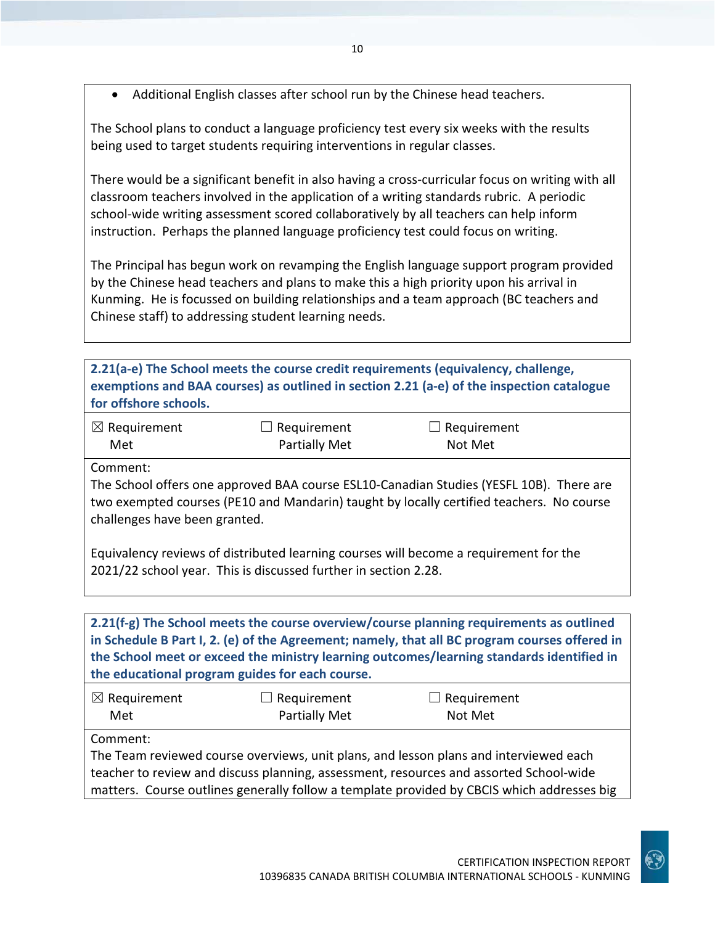• Additional English classes after school run by the Chinese head teachers.

The School plans to conduct a language proficiency test every six weeks with the results being used to target students requiring interventions in regular classes.

There would be a significant benefit in also having a cross-curricular focus on writing with all classroom teachers involved in the application of a writing standards rubric. A periodic school-wide writing assessment scored collaboratively by all teachers can help inform instruction. Perhaps the planned language proficiency test could focus on writing.

The Principal has begun work on revamping the English language support program provided by the Chinese head teachers and plans to make this a high priority upon his arrival in Kunming. He is focussed on building relationships and a team approach (BC teachers and Chinese staff) to addressing student learning needs.

**2.21(a-e) The School meets the course credit requirements (equivalency, challenge, exemptions and BAA courses) as outlined in section 2.21 (a-e) of the inspection catalogue for offshore schools.**

| $\boxtimes$ Requirement | $\Box$ Requirement | $\Box$ Requirement |
|-------------------------|--------------------|--------------------|
| Met                     | Partially Met      | Not Met            |

Comment:

The School offers one approved BAA course ESL10-Canadian Studies (YESFL 10B). There are two exempted courses (PE10 and Mandarin) taught by locally certified teachers. No course challenges have been granted.

Equivalency reviews of distributed learning courses will become a requirement for the 2021/22 school year. This is discussed further in section 2.28.

**2.21(f-g) The School meets the course overview/course planning requirements as outlined in Schedule B Part I, 2. (e) of the Agreement; namely, that all BC program courses offered in the School meet or exceed the ministry learning outcomes/learning standards identified in the educational program guides for each course.**

| $\boxtimes$ Requirement | $\Box$ Requirement | $\Box$ Requirement |
|-------------------------|--------------------|--------------------|
| Met                     | Partially Met      | Not Met            |

Comment:

The Team reviewed course overviews, unit plans, and lesson plans and interviewed each teacher to review and discuss planning, assessment, resources and assorted School-wide matters. Course outlines generally follow a template provided by CBCIS which addresses big

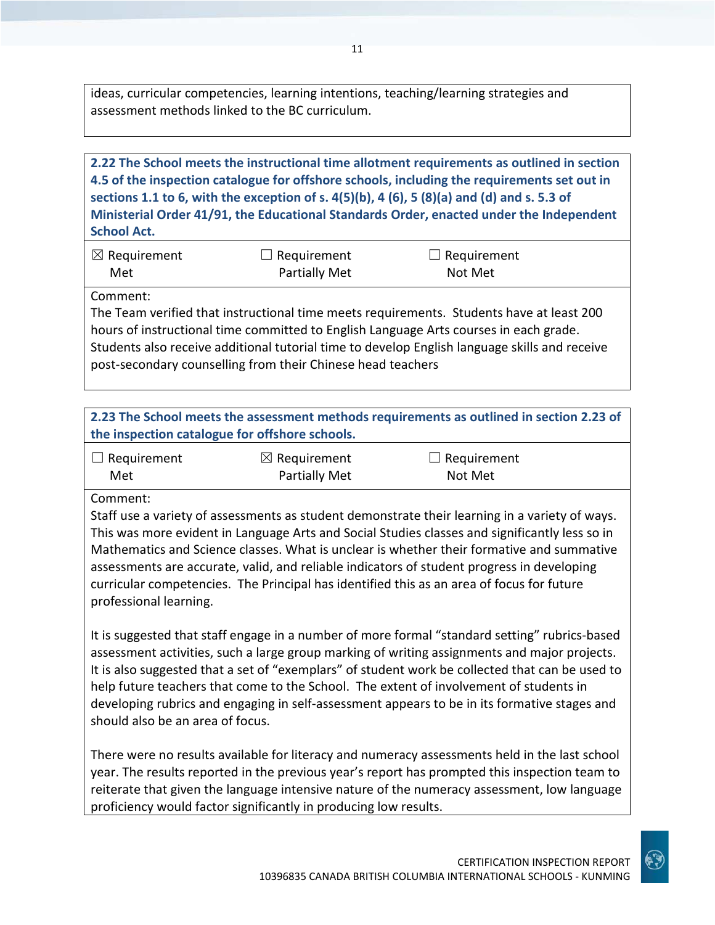ideas, curricular competencies, learning intentions, teaching/learning strategies and assessment methods linked to the BC curriculum.

## **2.22 The School meets the instructional time allotment requirements as outlined in section 4.5 of the inspection catalogue for offshore schools, including the requirements set out in sections 1.1 to 6, with the exception of s. 4(5)(b), 4 (6), 5 (8)(a) and (d) and s. 5.3 of Ministerial Order 41/91, the Educational Standards Order, enacted under the Independent School Act.**

| $\boxtimes$ Requirement | $\Box$ Requirement   | $\Box$ Requirement |
|-------------------------|----------------------|--------------------|
| Met                     | <b>Partially Met</b> | Not Met            |

Comment:

The Team verified that instructional time meets requirements. Students have at least 200 hours of instructional time committed to English Language Arts courses in each grade. Students also receive additional tutorial time to develop English language skills and receive post-secondary counselling from their Chinese head teachers

**2.23 The School meets the assessment methods requirements as outlined in section 2.23 of the inspection catalogue for offshore schools.**

| $\Box$ Requirement | $\boxtimes$ Requirement | $\Box$ Requirement |
|--------------------|-------------------------|--------------------|
| Met                | Partially Met           | Not Met            |

Comment:

Staff use a variety of assessments as student demonstrate their learning in a variety of ways. This was more evident in Language Arts and Social Studies classes and significantly less so in Mathematics and Science classes. What is unclear is whether their formative and summative assessments are accurate, valid, and reliable indicators of student progress in developing curricular competencies. The Principal has identified this as an area of focus for future professional learning.

It is suggested that staff engage in a number of more formal "standard setting" rubrics-based assessment activities, such a large group marking of writing assignments and major projects. It is also suggested that a set of "exemplars" of student work be collected that can be used to help future teachers that come to the School. The extent of involvement of students in developing rubrics and engaging in self-assessment appears to be in its formative stages and should also be an area of focus.

There were no results available for literacy and numeracy assessments held in the last school year. The results reported in the previous year's report has prompted this inspection team to reiterate that given the language intensive nature of the numeracy assessment, low language proficiency would factor significantly in producing low results.

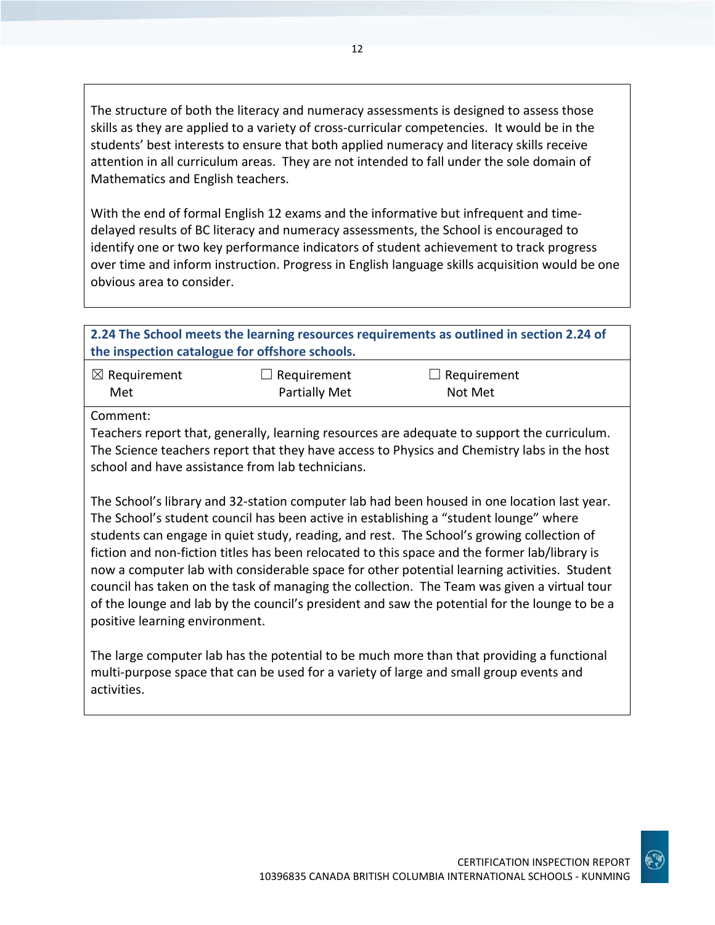The structure of both the literacy and numeracy assessments is designed to assess those skills as they are applied to a variety of cross-curricular competencies. It would be in the students' best interests to ensure that both applied numeracy and literacy skills receive attention in all curriculum areas. They are not intended to fall under the sole domain of Mathematics and English teachers.

With the end of formal English 12 exams and the informative but infrequent and timedelayed results of BC literacy and numeracy assessments, the School is encouraged to identify one or two key performance indicators of student achievement to track progress over time and inform instruction. Progress in English language skills acquisition would be one obvious area to consider.

**2.24 The School meets the learning resources requirements as outlined in section 2.24 of the inspection catalogue for offshore schools.**

| $\boxtimes$ Requirement | $\Box$ Requirement   | $\Box$ Requirement |
|-------------------------|----------------------|--------------------|
| Met                     | <b>Partially Met</b> | Not Met            |

Comment:

Teachers report that, generally, learning resources are adequate to support the curriculum. The Science teachers report that they have access to Physics and Chemistry labs in the host school and have assistance from lab technicians.

The School's library and 32-station computer lab had been housed in one location last year. The School's student council has been active in establishing a "student lounge" where students can engage in quiet study, reading, and rest. The School's growing collection of fiction and non-fiction titles has been relocated to this space and the former lab/library is now a computer lab with considerable space for other potential learning activities. Student council has taken on the task of managing the collection. The Team was given a virtual tour of the lounge and lab by the council's president and saw the potential for the lounge to be a positive learning environment.

The large computer lab has the potential to be much more than that providing a functional multi-purpose space that can be used for a variety of large and small group events and activities.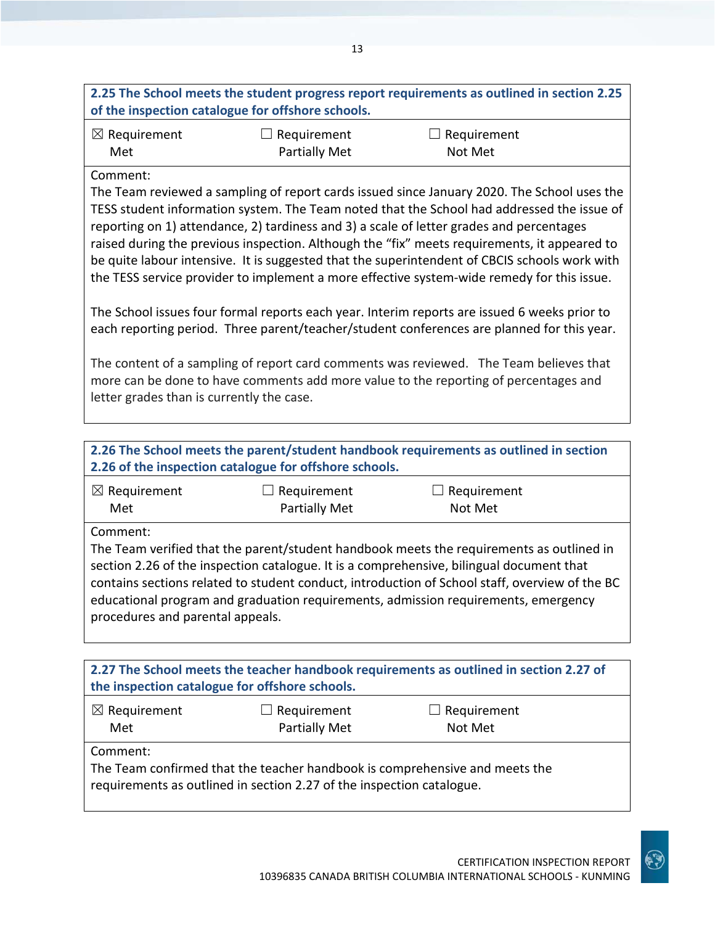## **2.25 The School meets the student progress report requirements as outlined in section 2.25 of the inspection catalogue for offshore schools.**

| $\boxtimes$ Requirement | $\Box$ Requirement   | $\Box$ Requirement |
|-------------------------|----------------------|--------------------|
| Met                     | <b>Partially Met</b> | Not Met            |

## Comment:

The Team reviewed a sampling of report cards issued since January 2020. The School uses the TESS student information system. The Team noted that the School had addressed the issue of reporting on 1) attendance, 2) tardiness and 3) a scale of letter grades and percentages raised during the previous inspection. Although the "fix" meets requirements, it appeared to be quite labour intensive. It is suggested that the superintendent of CBCIS schools work with the TESS service provider to implement a more effective system-wide remedy for this issue.

The School issues four formal reports each year. Interim reports are issued 6 weeks prior to each reporting period. Three parent/teacher/student conferences are planned for this year.

The content of a sampling of report card comments was reviewed. The Team believes that more can be done to have comments add more value to the reporting of percentages and letter grades than is currently the case.

**2.26 The School meets the parent/student handbook requirements as outlined in section 2.26 of the inspection catalogue for offshore schools.**

| $\boxtimes$ Requirement | $\Box$ Requirement   | $\Box$ Requirement |
|-------------------------|----------------------|--------------------|
| Met                     | <b>Partially Met</b> | Not Met            |

Comment:

The Team verified that the parent/student handbook meets the requirements as outlined in section 2.26 of the inspection catalogue. It is a comprehensive, bilingual document that contains sections related to student conduct, introduction of School staff, overview of the BC educational program and graduation requirements, admission requirements, emergency procedures and parental appeals.

| 2.27 The School meets the teacher handbook requirements as outlined in section 2.27 of<br>the inspection catalogue for offshore schools.                         |                                     |                               |  |  |
|------------------------------------------------------------------------------------------------------------------------------------------------------------------|-------------------------------------|-------------------------------|--|--|
| $\boxtimes$ Requirement<br>Met                                                                                                                                   | $\Box$ Requirement<br>Partially Met | $\Box$ Requirement<br>Not Met |  |  |
| Comment:<br>The Team confirmed that the teacher handbook is comprehensive and meets the<br>requirements as outlined in section 2.27 of the inspection catalogue. |                                     |                               |  |  |

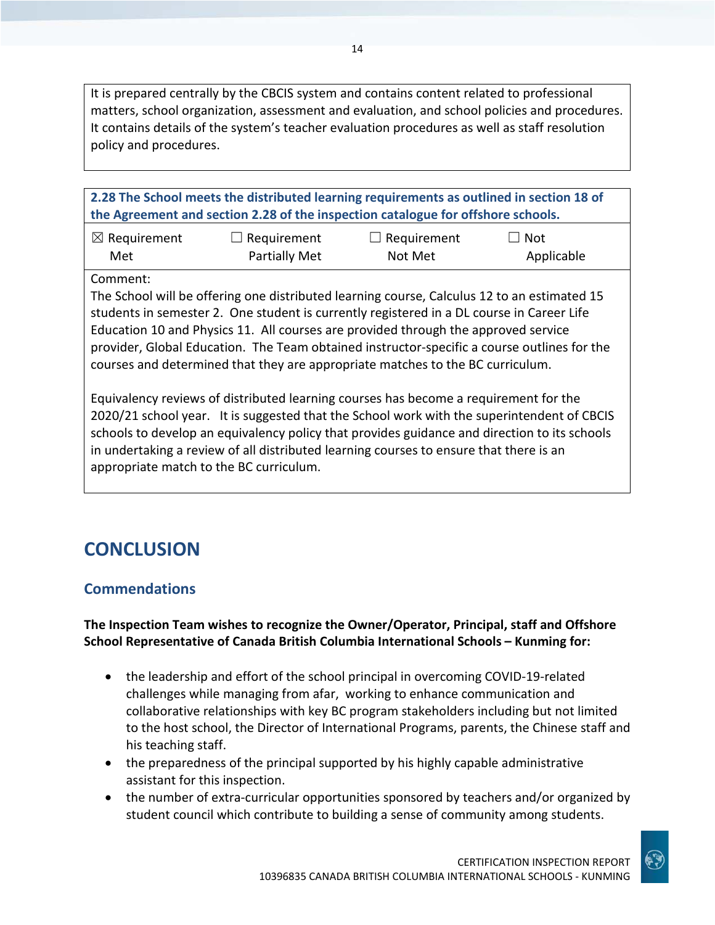It is prepared centrally by the CBCIS system and contains content related to professional matters, school organization, assessment and evaluation, and school policies and procedures. It contains details of the system's teacher evaluation procedures as well as staff resolution policy and procedures.

14

**2.28 The School meets the distributed learning requirements as outlined in section 18 of the Agreement and section 2.28 of the inspection catalogue for offshore schools.**

| $\boxtimes$ Requirement | $\Box$ Requirement | $\Box$ Requirement | $\Box$ Not |
|-------------------------|--------------------|--------------------|------------|
| Met                     | Partially Met      | Not Met            | Applicable |

Comment:

The School will be offering one distributed learning course, Calculus 12 to an estimated 15 students in semester 2. One student is currently registered in a DL course in Career Life Education 10 and Physics 11. All courses are provided through the approved service provider, Global Education. The Team obtained instructor-specific a course outlines for the courses and determined that they are appropriate matches to the BC curriculum.

Equivalency reviews of distributed learning courses has become a requirement for the 2020/21 school year. It is suggested that the School work with the superintendent of CBCIS schools to develop an equivalency policy that provides guidance and direction to its schools in undertaking a review of all distributed learning courses to ensure that there is an appropriate match to the BC curriculum.

## **CONCLUSION**

## **Commendations**

**The Inspection Team wishes to recognize the Owner/Operator, Principal, staff and Offshore School Representative of Canada British Columbia International Schools – Kunming for:**

- the leadership and effort of the school principal in overcoming COVID-19-related challenges while managing from afar, working to enhance communication and collaborative relationships with key BC program stakeholders including but not limited to the host school, the Director of International Programs, parents, the Chinese staff and his teaching staff.
- the preparedness of the principal supported by his highly capable administrative assistant for this inspection.
- the number of extra-curricular opportunities sponsored by teachers and/or organized by student council which contribute to building a sense of community among students.